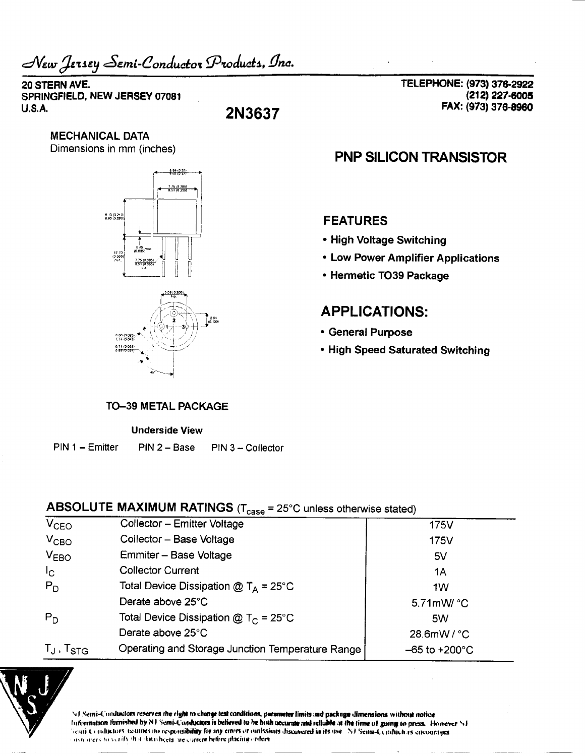New Jersey Semi-Conductor Products, Inc.

#### 20 STERN AVE. SPRINGFIELD, NEW JERSEY 07081  $U.S.A.$

2N3637

**MECHANICAL DATA** Dimensions in mm (inches)



TELEPHONE: (973) 376-2922 (212) 227-6005 FAX: (973) 376-8960

# **PNP SILICON TRANSISTOR**

### **FEATURES**

- High Voltage Switching
- Low Power Amplifier Applications
- Hermetic TO39 Package

# **APPLICATIONS:**

- General Purpose
- High Speed Saturated Switching

#### **TO-39 METAL PACKAGE**

#### **Underside View**

PIN 1 - Emitter PIN 2 - Base PIN 3 - Collector

# ABSOLUTE MAXIMUM RATINGS ( $T_{\text{case}}$  = 25°C unless otherwise stated)

| $V_{CEO}$         | Collector - Emitter Voltage                      | 175V                      |
|-------------------|--------------------------------------------------|---------------------------|
| $V_{CBO}$         | Collector - Base Voltage                         | 175V                      |
| $V_{EBO}$         | Emmiter - Base Voltage                           | 5V                        |
| 1 <sub>C</sub>    | <b>Collector Current</b>                         | 1A                        |
| $P_D$             | Total Device Dissipation $@T_A = 25^{\circ}C$    | 1W                        |
|                   | Derate above 25°C                                | 5.71mW/ °C                |
| $P_D$             | Total Device Dissipation @ $T_C = 25^{\circ}$ C  | 5W                        |
|                   | Derate above 25°C                                | 28.6mW/°C                 |
| $T_J$ , $T_{STG}$ | Operating and Storage Junction Temperature Range | $-65$ to $+200^{\circ}$ C |
|                   |                                                  |                           |



NJ Semi-Conductors reserves the right to change test conditions, parameter limits and package dimensions without notice Information furnished by NJ Semi-Conductors is believed to be hoth accurate and reliable at the time of going to press. However NJ Semi-Conductors issumes no responsibility for any errors or omissions discovered in its use. NJ Semi-Conductors encourages such areas to verify that datasheets are current before placing orders.